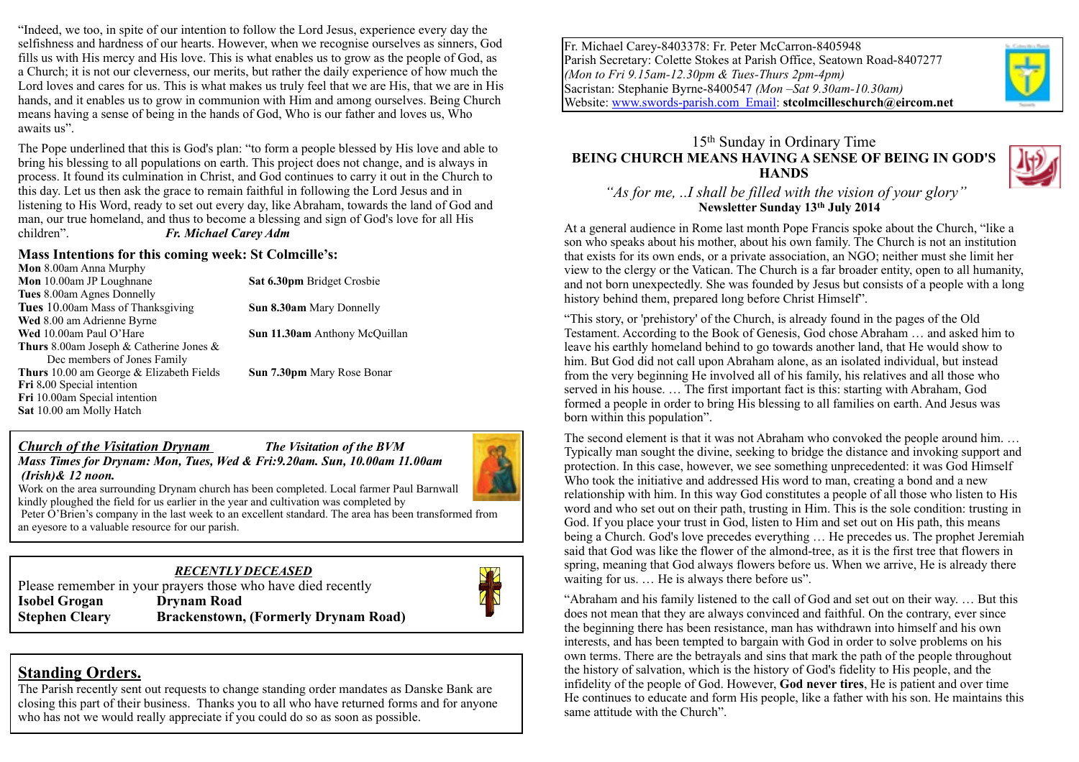"Indeed, we too, in spite of our intention to follow the Lord Jesus, experience every day the selfishness and hardness of our hearts. However, when we recognise ourselves as sinners, God fills us with His mercy and His love. This is what enables us to grow as the people of God, as a Church; it is not our cleverness, our merits, but rather the daily experience of how much the Lord loves and cares for us. This is what makes us truly feel that we are His, that we are in His hands, and it enables us to grow in communion with Him and among ourselves. Being Church means having a sense of being in the hands of God, Who is our father and loves us, Who awaits us".

The Pope underlined that this is God's plan: "to form a people blessed by His love and able to bring his blessing to all populations on earth. This project does not change, and is always in process. It found its culmination in Christ, and God continues to carry it out in the Church to this day. Let us then ask the grace to remain faithful in following the Lord Jesus and in listening to His Word, ready to set out every day, like Abraham, towards the land of God and man, our true homeland, and thus to become a blessing and sign of God's love for all His children". *Fr. Michael Carey Adm*

#### **Mass Intentions for this coming week: St Colmcille's:**

| <b>Mon</b> 8.00am Anna Murphy                     |                                      |
|---------------------------------------------------|--------------------------------------|
| Mon 10.00am JP Loughnane                          | Sat 6.30pm Bridget Crosbie           |
| <b>Tues</b> 8.00am Agnes Donnelly                 |                                      |
| <b>Tues</b> 10.00am Mass of Thanksgiving          | <b>Sun 8.30am</b> Mary Donnelly      |
| Wed 8.00 am Adrienne Byrne                        |                                      |
| Wed 10.00am Paul O'Hare                           | <b>Sun 11.30am</b> Anthony McQuillan |
| <b>Thurs</b> 8.00am Joseph & Catherine Jones $\&$ |                                      |
| Dec members of Jones Family                       |                                      |
| <b>Thurs</b> 10.00 am George & Elizabeth Fields   | <b>Sun 7.30pm</b> Mary Rose Bonar    |
| Fri 8.00 Special intention                        |                                      |
| Fri 10.00am Special intention                     |                                      |
| Sat 10.00 am Molly Hatch                          |                                      |
|                                                   |                                      |

#### *Church of the Visitation Drynam The Visitation of the BVM Mass Times for Drynam: Mon, Tues, Wed & Fri:9.20am. Sun, 10.00am 11.00am*



Work on the area surrounding Drynam church has been completed. Local farmer Paul Barnwall kindly ploughed the field for us earlier in the year and cultivation was completed by

Peter O'Brien's company in the last week to an excellent standard. The area has been transformed from an eyesore to a valuable resource for our parish.

#### *RECENTLY DECEASED*  Please remember in your prayers those who have died recently



# **Isobel Grogan Drynam Road Stephen Cleary Brackenstown, (Formerly Drynam Road)**

## **Standing Orders.**

 *(Irish)& 12 noon.* 

The Parish recently sent out requests to change standing order mandates as Danske Bank are closing this part of their business. Thanks you to all who have returned forms and for anyone who has not we would really appreciate if you could do so as soon as possible.

Fr. Michael Carey-8403378: Fr. Peter McCarron-8405948 Parish Secretary: Colette Stokes at Parish Office, Seatown Road-8407277 *(Mon to Fri 9.15am-12.30pm & Tues-Thurs 2pm-4pm)* Sacristan: Stephanie Byrne-8400547 *(Mon –Sat 9.30am-10.30am)* Website: [www.swords-parish.com Email:](http://www.swords-parish.com%20%20email) **stcolmcilleschurch@eircom.net**

### 15th Sunday in Ordinary Time **BEING CHURCH MEANS HAVING A SENSE OF BEING IN GOD'S HANDS**



#### *"As for me, ..I shall be filled with the vision of your glory"*  **Newsletter Sunday 13th July 2014**

At a general audience in Rome last month Pope Francis spoke about the Church, "like a son who speaks about his mother, about his own family. The Church is not an institution that exists for its own ends, or a private association, an NGO; neither must she limit her view to the clergy or the Vatican. The Church is a far broader entity, open to all humanity, and not born unexpectedly. She was founded by Jesus but consists of a people with a long history behind them, prepared long before Christ Himself".

"This story, or 'prehistory' of the Church, is already found in the pages of the Old Testament. According to the Book of Genesis, God chose Abraham … and asked him to leave his earthly homeland behind to go towards another land, that He would show to him. But God did not call upon Abraham alone, as an isolated individual, but instead from the very beginning He involved all of his family, his relatives and all those who served in his house. … The first important fact is this: starting with Abraham, God formed a people in order to bring His blessing to all families on earth. And Jesus was born within this population".

The second element is that it was not Abraham who convoked the people around him. ... Typically man sought the divine, seeking to bridge the distance and invoking support and protection. In this case, however, we see something unprecedented: it was God Himself Who took the initiative and addressed His word to man, creating a bond and a new relationship with him. In this way God constitutes a people of all those who listen to His word and who set out on their path, trusting in Him. This is the sole condition: trusting in God. If you place your trust in God, listen to Him and set out on His path, this means being a Church. God's love precedes everything … He precedes us. The prophet Jeremiah said that God was like the flower of the almond-tree, as it is the first tree that flowers in spring, meaning that God always flowers before us. When we arrive, He is already there waiting for us. … He is always there before us".

"Abraham and his family listened to the call of God and set out on their way. … But this does not mean that they are always convinced and faithful. On the contrary, ever since the beginning there has been resistance, man has withdrawn into himself and his own interests, and has been tempted to bargain with God in order to solve problems on his own terms. There are the betrayals and sins that mark the path of the people throughout the history of salvation, which is the history of God's fidelity to His people, and the infidelity of the people of God. However, **God never tires**, He is patient and over time He continues to educate and form His people, like a father with his son. He maintains this same attitude with the Church".